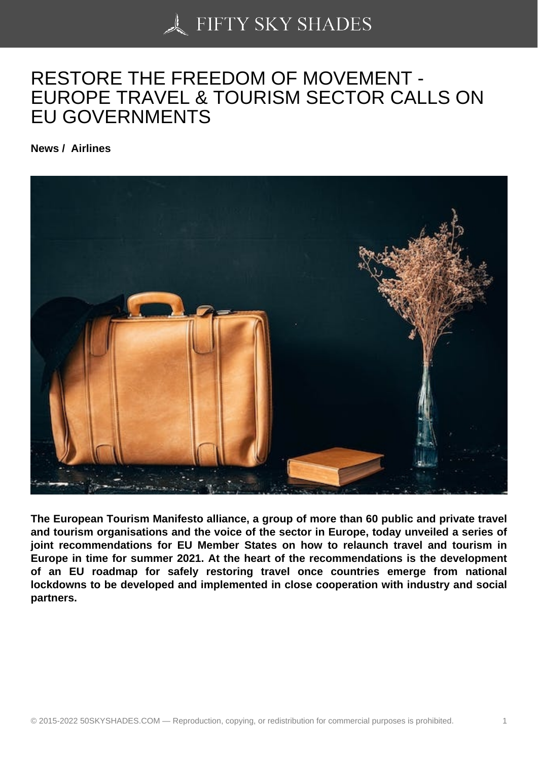# [RESTORE THE FREE](https://50skyshades.com)DOM OF MOVEMENT - EUROPE TRAVEL & TOURISM SECTOR CALLS ON EU GOVERNMENTS

News / Airlines

The European Tourism Manifesto alliance, a group of more than 60 public and private travel and tourism organisations and the voice of the sector in Europe, today unveiled a series of joint recommendations for EU Member States on how to relaunch travel and tourism in Europe in time for summer 2021. At the heart of the recommendations is the development of an EU roadmap for safely restoring travel once countries emerge from national lockdowns to be developed and implemented in close cooperation with industry and social partners.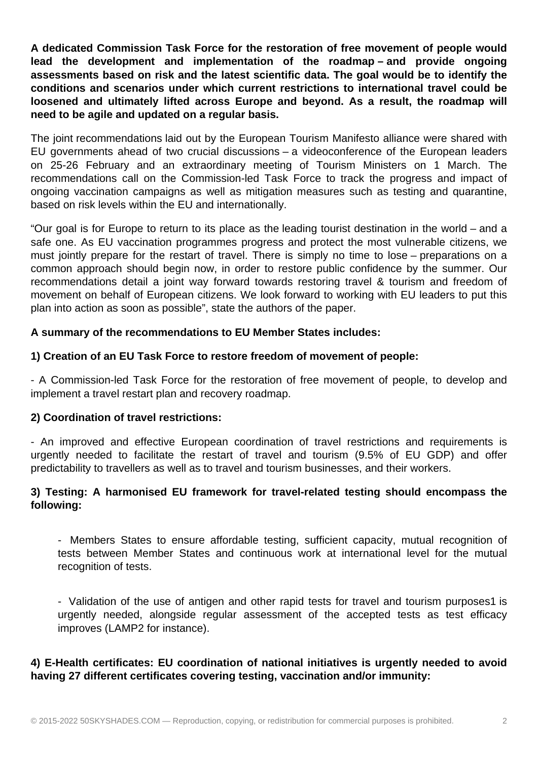**A dedicated Commission Task Force for the restoration of free movement of people would lead the development and implementation of the roadmap – and provide ongoing assessments based on risk and the latest scientific data. The goal would be to identify the conditions and scenarios under which current restrictions to international travel could be loosened and ultimately lifted across Europe and beyond. As a result, the roadmap will need to be agile and updated on a regular basis.**

The joint recommendations laid out by the European Tourism Manifesto alliance were shared with EU governments ahead of two crucial discussions – a videoconference of the European leaders on 25-26 February and an extraordinary meeting of Tourism Ministers on 1 March. The recommendations call on the Commission-led Task Force to track the progress and impact of ongoing vaccination campaigns as well as mitigation measures such as testing and quarantine, based on risk levels within the EU and internationally.

"Our goal is for Europe to return to its place as the leading tourist destination in the world – and a safe one. As EU vaccination programmes progress and protect the most vulnerable citizens, we must jointly prepare for the restart of travel. There is simply no time to lose – preparations on a common approach should begin now, in order to restore public confidence by the summer. Our recommendations detail a joint way forward towards restoring travel & tourism and freedom of movement on behalf of European citizens. We look forward to working with EU leaders to put this plan into action as soon as possible", state the authors of the paper.

## **A summary of the recommendations to EU Member States includes:**

## **1) Creation of an EU Task Force to restore freedom of movement of people:**

- A Commission-led Task Force for the restoration of free movement of people, to develop and implement a travel restart plan and recovery roadmap.

#### **2) Coordination of travel restrictions:**

- An improved and effective European coordination of travel restrictions and requirements is urgently needed to facilitate the restart of travel and tourism (9.5% of EU GDP) and offer predictability to travellers as well as to travel and tourism businesses, and their workers.

## **3) Testing: A harmonised EU framework for travel-related testing should encompass the following:**

- Members States to ensure affordable testing, sufficient capacity, mutual recognition of tests between Member States and continuous work at international level for the mutual recognition of tests.

- Validation of the use of antigen and other rapid tests for travel and tourism purposes1 is urgently needed, alongside regular assessment of the accepted tests as test efficacy improves (LAMP2 for instance).

## **4) E-Health certificates: EU coordination of national initiatives is urgently needed to avoid having 27 different certificates covering testing, vaccination and/or immunity:**